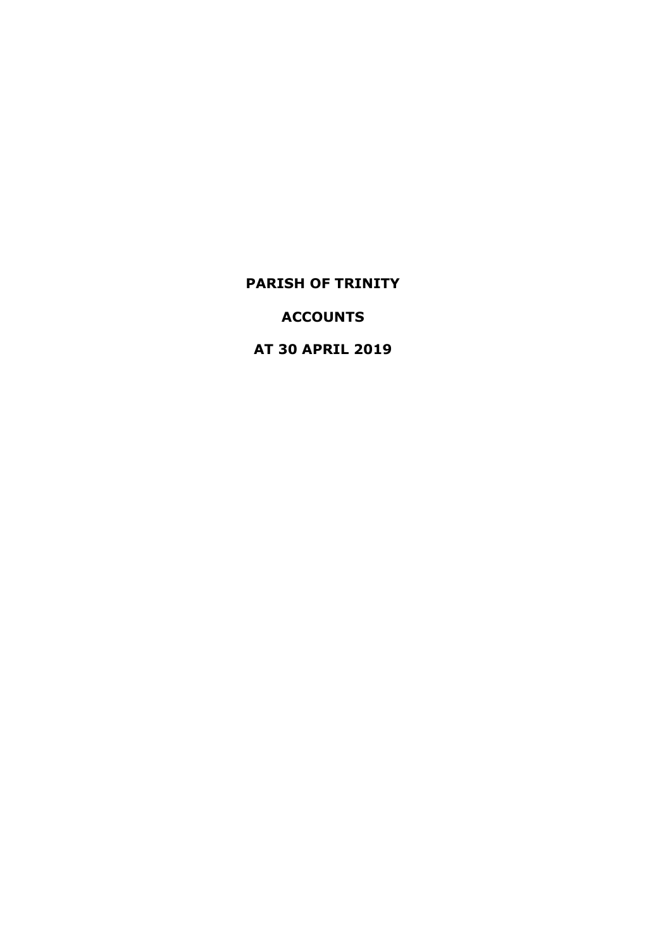**ACCOUNTS**

**AT 30 APRIL 2019**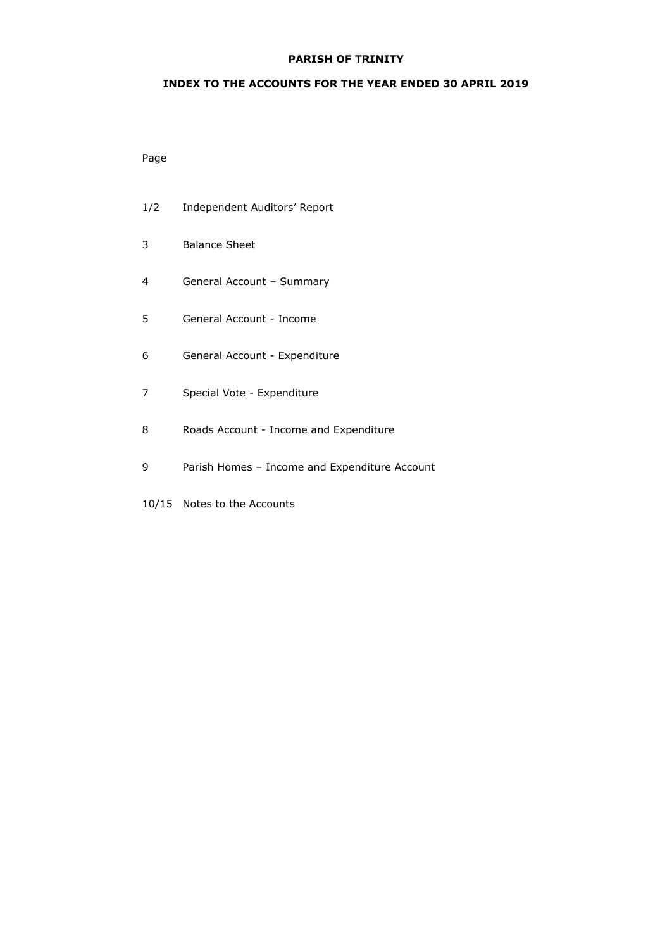## **INDEX TO THE ACCOUNTS FOR THE YEAR ENDED 30 APRIL 2019**

## Page

- 1/2 Independent Auditors' Report
- 3 Balance Sheet
- 4 General Account Summary
- 5 General Account Income
- 6 General Account Expenditure
- 7 Special Vote Expenditure
- 8 Roads Account Income and Expenditure
- 9 Parish Homes Income and Expenditure Account
- 10/15 Notes to the Accounts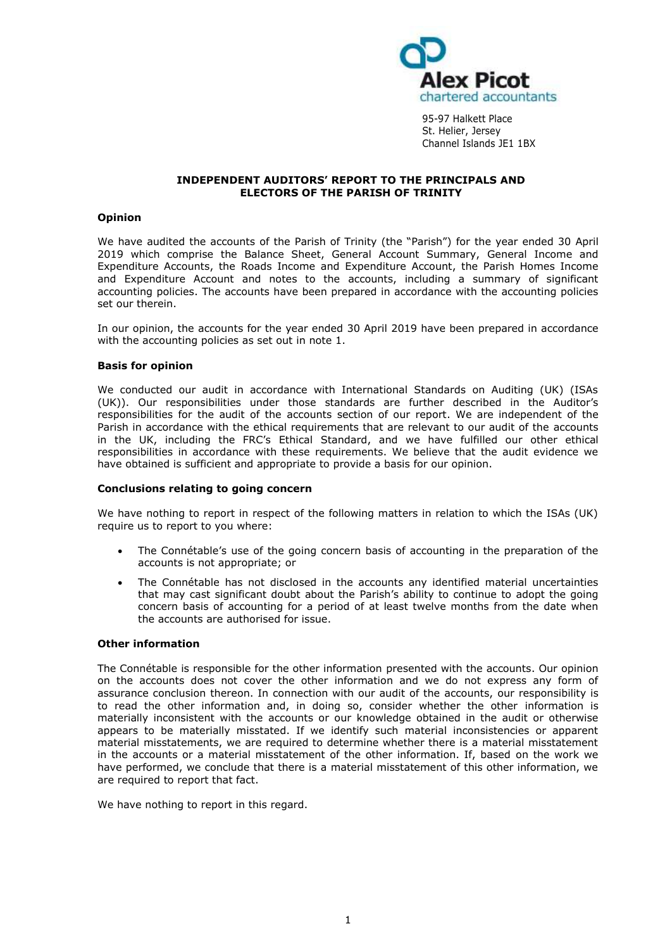

95-97 Halkett Place St. Helier, Jersey Channel Islands JE1 1BX

#### **INDEPENDENT AUDITORS' REPORT TO THE PRINCIPALS AND ELECTORS OF THE PARISH OF TRINITY**

## **Opinion**

We have audited the accounts of the Parish of Trinity (the "Parish") for the year ended 30 April 2019 which comprise the Balance Sheet, General Account Summary, General Income and Expenditure Accounts, the Roads Income and Expenditure Account, the Parish Homes Income and Expenditure Account and notes to the accounts, including a summary of significant accounting policies. The accounts have been prepared in accordance with the accounting policies set our therein.

In our opinion, the accounts for the year ended 30 April 2019 have been prepared in accordance with the accounting policies as set out in note 1.

#### **Basis for opinion**

We conducted our audit in accordance with International Standards on Auditing (UK) (ISAs (UK)). Our responsibilities under those standards are further described in the Auditor's responsibilities for the audit of the accounts section of our report. We are independent of the Parish in accordance with the ethical requirements that are relevant to our audit of the accounts in the UK, including the FRC's [Ethical Standard,](https://library.cch.co.uk/apbes2016r1) and we have fulfilled our other ethical responsibilities in accordance with these requirements. We believe that the audit evidence we have obtained is sufficient and appropriate to provide a basis for our opinion.

#### **Conclusions relating to going concern**

We have nothing to report in respect of the following matters in relation to which the ISAs (UK) require us to report to you where:

- The Connétable's use of the going concern basis of accounting in the preparation of the accounts is not appropriate; or
- The Connétable has not disclosed in the accounts any identified material uncertainties that may cast significant doubt about the Parish's ability to continue to adopt the going concern basis of accounting for a period of at least twelve months from the date when the accounts are authorised for issue.

#### **Other information**

The Connétable is responsible for the other information presented with the accounts. Our opinion on the accounts does not cover the other information and we do not express any form of assurance conclusion thereon. In connection with our audit of the accounts, our responsibility is to read the other information and, in doing so, consider whether the other information is materially inconsistent with the accounts or our knowledge obtained in the audit or otherwise appears to be materially misstated. If we identify such material inconsistencies or apparent material misstatements, we are required to determine whether there is a material misstatement in the accounts or a material misstatement of the other information. If, based on the work we have performed, we conclude that there is a material misstatement of this other information, we are required to report that fact.

We have nothing to report in this regard.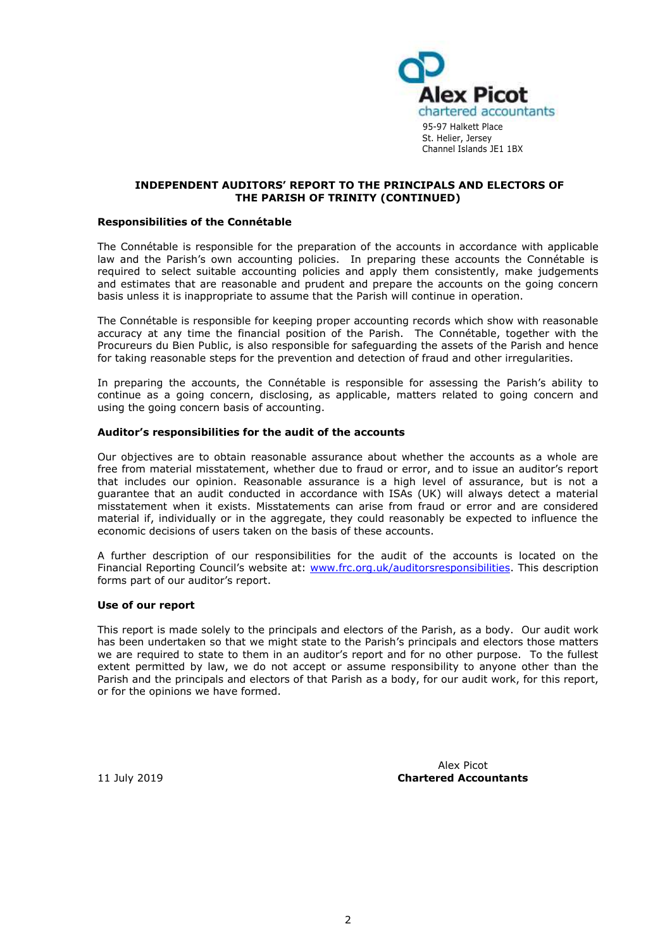

#### **INDEPENDENT AUDITORS' REPORT TO THE PRINCIPALS AND ELECTORS OF THE PARISH OF TRINITY (CONTINUED)**

#### **Responsibilities of the Connétable**

The Connétable is responsible for the preparation of the accounts in accordance with applicable law and the Parish's own accounting policies. In preparing these accounts the Connétable is required to select suitable accounting policies and apply them consistently, make judgements and estimates that are reasonable and prudent and prepare the accounts on the going concern basis unless it is inappropriate to assume that the Parish will continue in operation.

The Connétable is responsible for keeping proper accounting records which show with reasonable accuracy at any time the financial position of the Parish. The Connétable, together with the Procureurs du Bien Public, is also responsible for safeguarding the assets of the Parish and hence for taking reasonable steps for the prevention and detection of fraud and other irregularities.

In preparing the accounts, the Connétable is responsible for assessing the Parish's ability to continue as a going concern, disclosing, as applicable, matters related to going concern and using the going concern basis of accounting.

#### **Auditor's responsibilities for the audit of the accounts**

Our objectives are to obtain reasonable assurance about whether the accounts as a whole are free from material misstatement, whether due to fraud or error, and to issue an auditor's report that includes our opinion. Reasonable assurance is a high level of assurance, but is not a guarantee that an audit conducted in accordance with ISAs (UK) will always detect a material misstatement when it exists. Misstatements can arise from fraud or error and are considered material if, individually or in the aggregate, they could reasonably be expected to influence the economic decisions of users taken on the basis of these accounts.

A further description of our responsibilities for the audit of the accounts is located on the Financial Reporting Council's website at: [www.frc.org.uk/auditorsresponsibilities.](www.frc.org.uk/auditorsresponsibilities) This description forms part of our auditor's report.

#### **Use of our report**

This report is made solely to the principals and electors of the Parish, as a body. Our audit work has been undertaken so that we might state to the Parish's principals and electors those matters we are required to state to them in an auditor's report and for no other purpose. To the fullest extent permitted by law, we do not accept or assume responsibility to anyone other than the Parish and the principals and electors of that Parish as a body, for our audit work, for this report, or for the opinions we have formed.

Alex Picot 11 July 2019 **Chartered Accountants**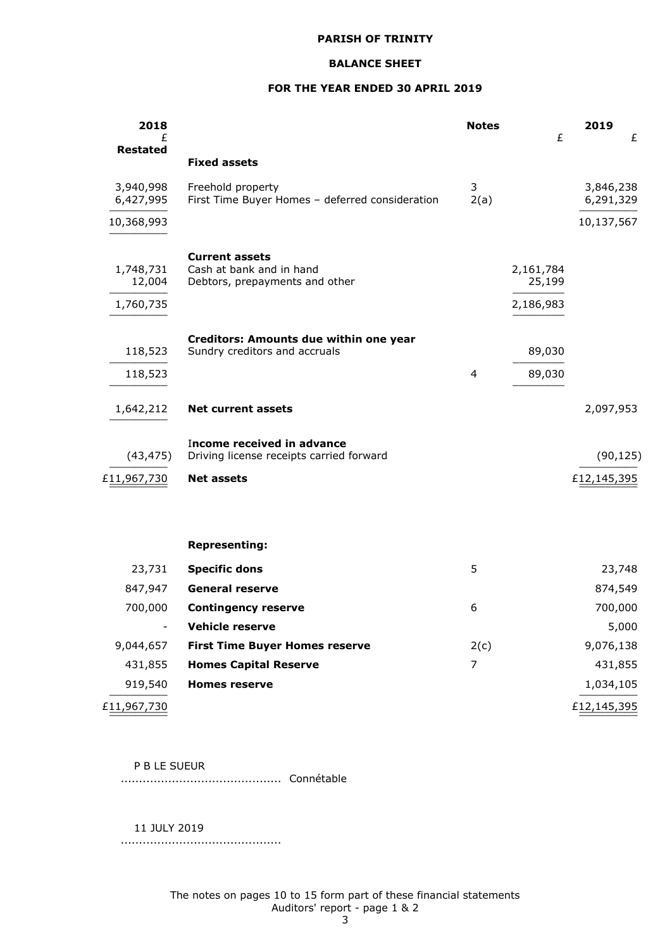## **BALANCE SHEET**

## **FOR THE YEAR ENDED 30 APRIL 2019**

| 2018<br>£<br><b>Restated</b>     |                                                                                     | <b>Notes</b> | £                                | 2019                   | £ |
|----------------------------------|-------------------------------------------------------------------------------------|--------------|----------------------------------|------------------------|---|
|                                  | <b>Fixed assets</b>                                                                 |              |                                  |                        |   |
| 3,940,998<br>6,427,995           | Freehold property<br>First Time Buyer Homes - deferred consideration                | 3<br>2(a)    |                                  | 3,846,238<br>6,291,329 |   |
| 10,368,993                       |                                                                                     |              |                                  | 10,137,567             |   |
| 1,748,731<br>12,004<br>1,760,735 | <b>Current assets</b><br>Cash at bank and in hand<br>Debtors, prepayments and other |              | 2,161,784<br>25,199<br>2,186,983 |                        |   |
| 118,523<br>118,523               | Creditors: Amounts due within one year<br>Sundry creditors and accruals             | 4            | 89,030<br>89,030                 |                        |   |
| 1,642,212                        | <b>Net current assets</b>                                                           |              |                                  | 2,097,953              |   |
| (43, 475)                        | Income received in advance<br>Driving license receipts carried forward              |              |                                  | (90, 125)              |   |
| £11,967,730                      | <b>Net assets</b>                                                                   |              |                                  | £12,145,395            |   |
|                                  | <b>Representing:</b>                                                                |              |                                  |                        |   |
| 23,731                           | <b>Specific dons</b>                                                                | 5            |                                  | 23,748                 |   |
| 847,947                          | <b>General reserve</b>                                                              |              |                                  | 874,549                |   |
| 700,000                          | <b>Contingency reserve</b>                                                          | 6            |                                  | 700,000                |   |
| $\overline{\phantom{a}}$         | Vehicle reserve                                                                     |              |                                  | 5,000                  |   |
| 9,044,657                        | <b>First Time Buyer Homes reserve</b>                                               | 2(c)         |                                  | 9,076,138              |   |
| 431,855                          | <b>Homes Capital Reserve</b>                                                        | 7            |                                  | 431,855                |   |
| 919,540                          | <b>Homes reserve</b>                                                                |              |                                  | 1,034,105              |   |
| £11,967,730                      |                                                                                     |              |                                  | £12,145,395            |   |

#### P B LE SUEUR

............................................ Connétable

11 JULY 2019

............................................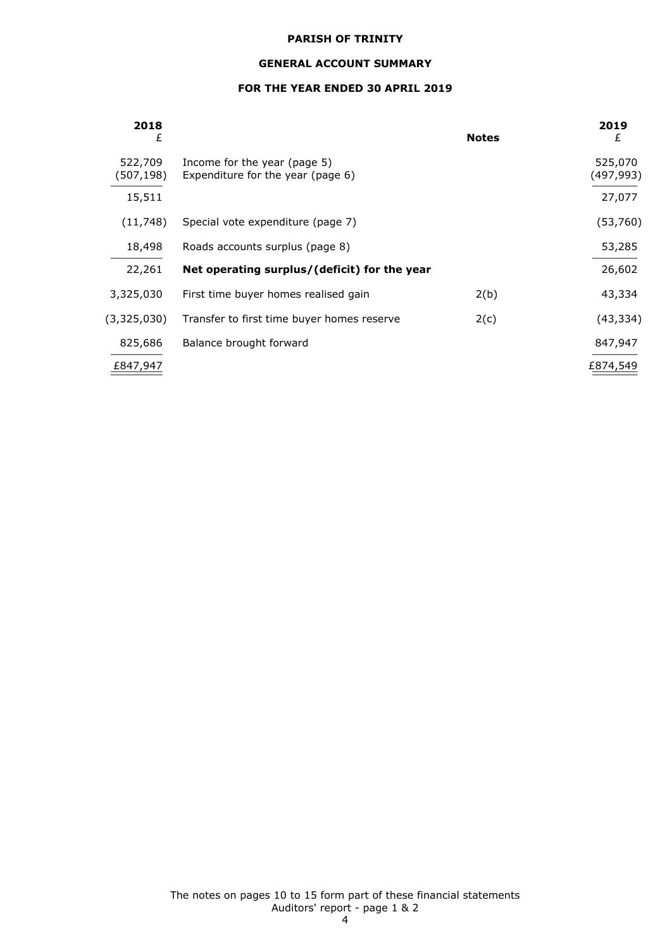## **GENERAL ACCOUNT SUMMARY**

## **FOR THE YEAR ENDED 30 APRIL 2019**

| 2018<br>£            |                                                                   | <b>Notes</b> | 2019<br>£            |
|----------------------|-------------------------------------------------------------------|--------------|----------------------|
| 522,709<br>(507,198) | Income for the year (page 5)<br>Expenditure for the year (page 6) |              | 525,070<br>(497,993) |
| 15,511               |                                                                   |              | 27,077               |
| (11, 748)            | Special vote expenditure (page 7)                                 |              | (53,760)             |
| 18,498               | Roads accounts surplus (page 8)                                   |              | 53,285               |
| 22,261               | Net operating surplus/(deficit) for the year                      |              | 26,602               |
| 3,325,030            | First time buyer homes realised gain                              | 2(b)         | 43,334               |
| (3,325,030)          | Transfer to first time buyer homes reserve                        | 2(c)         | (43, 334)            |
| 825,686              | Balance brought forward                                           |              | 847,947              |
| £847,947             |                                                                   |              | £874,549             |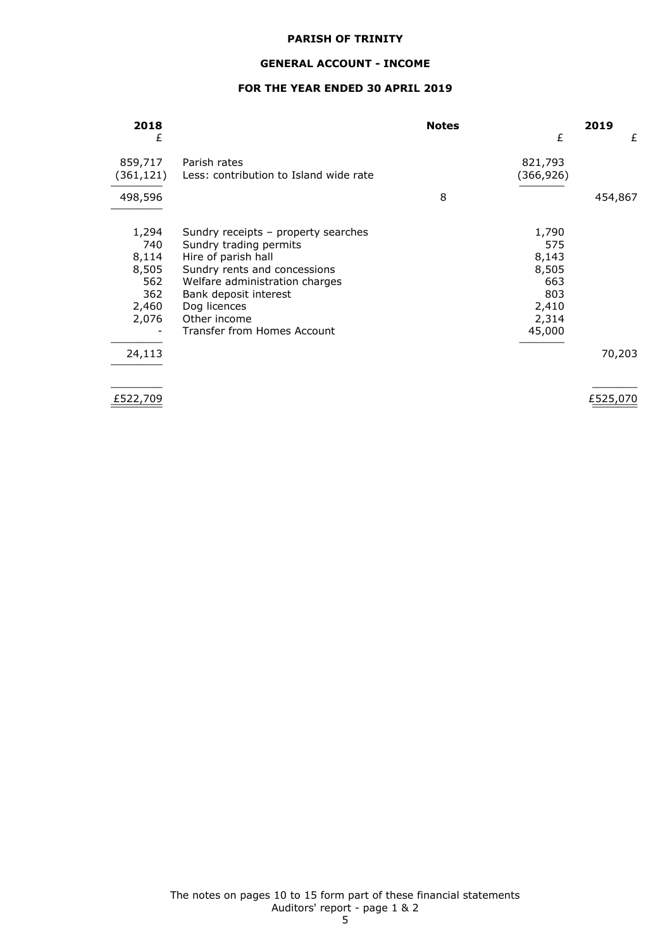## **GENERAL ACCOUNT - INCOME**

## **FOR THE YEAR ENDED 30 APRIL 2019**

| 2018                 |                                                        | <b>Notes</b> |                      | 2019    |
|----------------------|--------------------------------------------------------|--------------|----------------------|---------|
| £                    |                                                        |              | £                    | £       |
| 859,717<br>(361,121) | Parish rates<br>Less: contribution to Island wide rate |              | 821,793<br>(366,926) |         |
| 498,596              |                                                        | 8            |                      | 454,867 |
| 1,294                | Sundry receipts - property searches                    |              | 1,790                |         |
| 740                  | Sundry trading permits                                 |              | 575                  |         |
| 8,114                | Hire of parish hall                                    |              | 8,143                |         |
| 8,505                | Sundry rents and concessions                           |              | 8,505                |         |
| 562                  | Welfare administration charges                         |              | 663                  |         |
| 362                  | Bank deposit interest                                  |              | 803                  |         |
| 2,460                | Dog licences                                           |              | 2,410                |         |
| 2,076                | Other income                                           |              | 2,314                |         |
|                      | Transfer from Homes Account                            |              | 45,000               |         |
| 24,113               |                                                        |              |                      | 70,203  |
|                      |                                                        |              |                      |         |

 $\underline{F522,709}$   $\underline{F525,070}$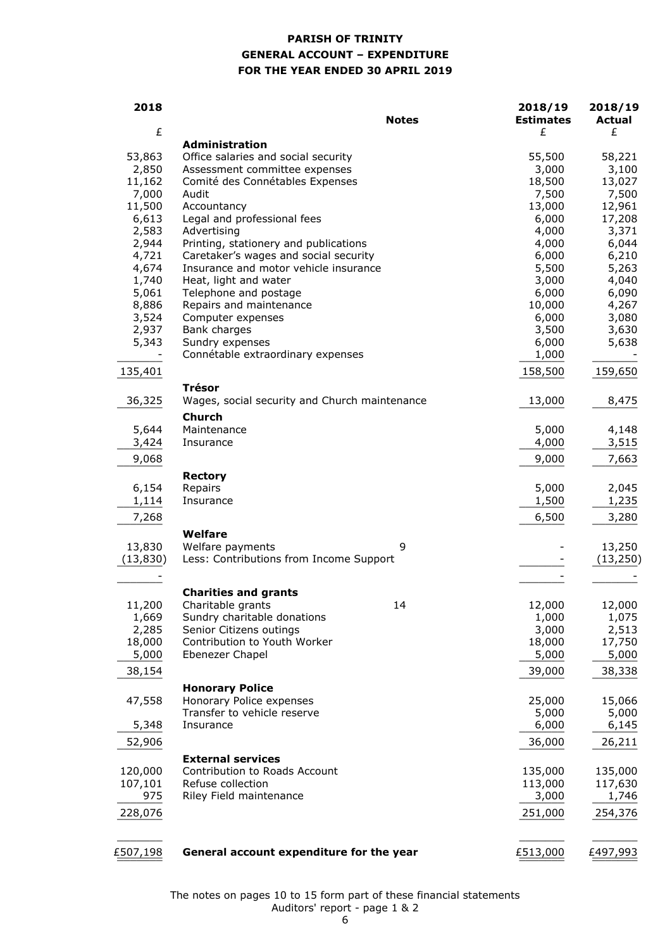## **PARISH OF TRINITY GENERAL ACCOUNT – EXPENDITURE FOR THE YEAR ENDED 30 APRIL 2019**

| 2018               | <b>Notes</b>                                              | 2018/19<br><b>Estimates</b> | 2018/19<br><b>Actual</b> |
|--------------------|-----------------------------------------------------------|-----------------------------|--------------------------|
| £                  | <b>Administration</b>                                     | £                           | £                        |
| 53,863             | Office salaries and social security                       | 55,500                      | 58,221                   |
| 2,850              | Assessment committee expenses                             | 3,000                       | 3,100                    |
| 11,162             | Comité des Connétables Expenses                           | 18,500                      | 13,027                   |
| 7,000              | Audit                                                     | 7,500                       | 7,500                    |
| 11,500             | Accountancy                                               | 13,000                      | 12,961                   |
| 6,613              | Legal and professional fees                               | 6,000                       | 17,208                   |
| 2,583              | Advertising                                               | 4,000                       | 3,371                    |
| 2,944              | Printing, stationery and publications                     | 4,000                       | 6,044                    |
| 4,721              | Caretaker's wages and social security                     | 6,000                       | 6,210                    |
| 4,674              | Insurance and motor vehicle insurance                     | 5,500                       | 5,263                    |
| 1,740              | Heat, light and water                                     | 3,000                       | 4,040                    |
| 5,061<br>8,886     | Telephone and postage<br>Repairs and maintenance          | 6,000<br>10,000             | 6,090                    |
| 3,524              | Computer expenses                                         | 6,000                       | 4,267<br>3,080           |
| 2,937              | Bank charges                                              | 3,500                       | 3,630                    |
| 5,343              | Sundry expenses                                           | 6,000                       | 5,638                    |
|                    | Connétable extraordinary expenses                         | 1,000                       |                          |
| 135,401            |                                                           | 158,500                     | 159,650                  |
|                    | <b>Trésor</b>                                             |                             |                          |
| 36,325             | Wages, social security and Church maintenance             | 13,000                      | 8,475                    |
|                    | <b>Church</b>                                             |                             |                          |
| 5,644              | Maintenance                                               | 5,000                       | 4,148                    |
| 3,424              | Insurance                                                 | 4,000                       | 3,515                    |
| 9,068              |                                                           | 9,000                       | 7,663                    |
| 6,154              | <b>Rectory</b><br>Repairs                                 | 5,000                       | 2,045                    |
| 1,114              | Insurance                                                 | 1,500                       | 1,235                    |
| 7,268              |                                                           | 6,500                       | 3,280                    |
|                    | Welfare                                                   |                             |                          |
| 13,830             | Welfare payments<br>9                                     |                             | 13,250                   |
| (13, 830)          | Less: Contributions from Income Support                   |                             | (13, 250)                |
|                    |                                                           |                             |                          |
|                    | <b>Charities and grants</b>                               |                             |                          |
| 11,200             | 14<br>Charitable grants                                   | 12,000                      | 12,000                   |
| 1,669              | Sundry charitable donations                               | 1,000                       | 1,075                    |
| 2,285              | Senior Citizens outings                                   | 3,000                       | 2,513                    |
| 18,000             | Contribution to Youth Worker                              | 18,000                      | 17,750                   |
| 5,000              | Ebenezer Chapel                                           | 5,000                       | 5,000                    |
| 38,154             |                                                           | 39,000                      | 38,338                   |
|                    | <b>Honorary Police</b>                                    |                             |                          |
| 47,558             | Honorary Police expenses                                  | 25,000                      | 15,066                   |
|                    | Transfer to vehicle reserve                               | 5,000                       | 5,000                    |
| 5,348              | Insurance                                                 | 6,000                       | 6,145                    |
| 52,906             |                                                           | 36,000                      | 26,211                   |
|                    | <b>External services</b><br>Contribution to Roads Account | 135,000                     |                          |
| 120,000<br>107,101 | Refuse collection                                         | 113,000                     | 135,000<br>117,630       |
| 975                | Riley Field maintenance                                   | 3,000                       | 1,746                    |
| 228,076            |                                                           | 251,000                     | 254,376                  |
|                    |                                                           |                             |                          |
| £507,198           | General account expenditure for the year                  | £513,000                    | £497,993                 |
|                    |                                                           |                             |                          |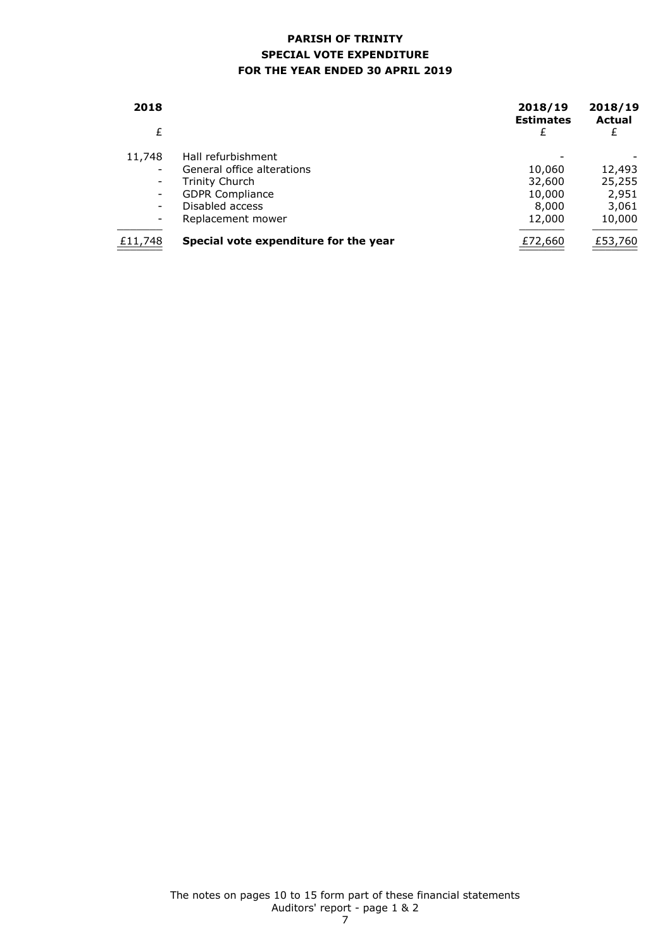## **PARISH OF TRINITY SPECIAL VOTE EXPENDITURE FOR THE YEAR ENDED 30 APRIL 2019**

| 2018    |                                       | 2018/19<br><b>Estimates</b> | 2018/19<br><b>Actual</b> |
|---------|---------------------------------------|-----------------------------|--------------------------|
| £       |                                       | £                           | £                        |
| 11,748  | Hall refurbishment                    |                             |                          |
|         | General office alterations            | 10,060                      | 12,493                   |
|         | <b>Trinity Church</b>                 | 32,600                      | 25,255                   |
|         | <b>GDPR Compliance</b>                | 10,000                      | 2,951                    |
|         | Disabled access                       | 8,000                       | 3,061                    |
|         | Replacement mower                     | 12,000                      | 10,000                   |
| £11,748 | Special vote expenditure for the year | £72,660                     | £53,760                  |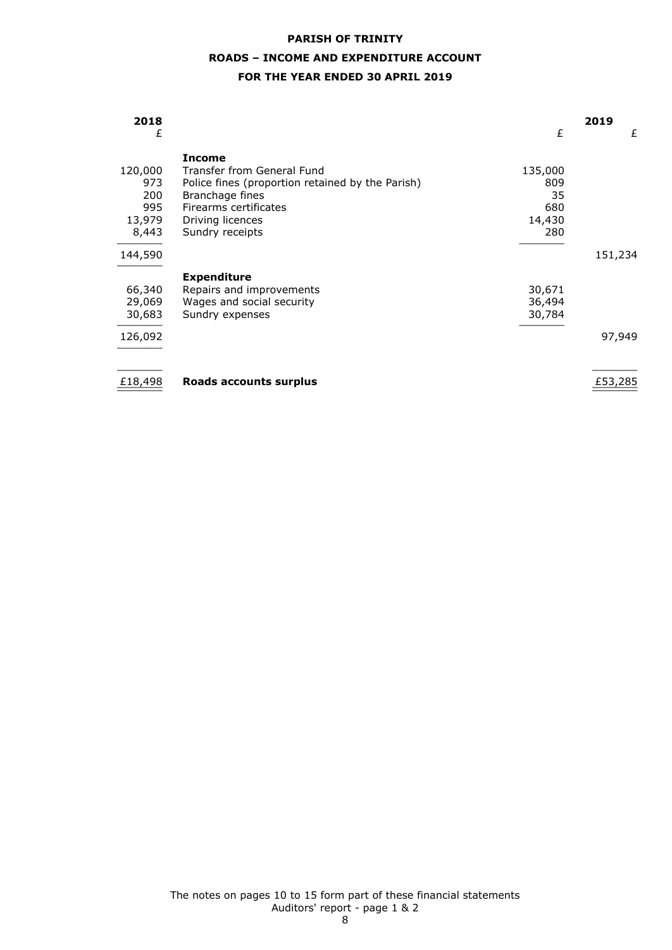# **PARISH OF TRINITY ROADS – INCOME AND EXPENDITURE ACCOUNT**

## **FOR THE YEAR ENDED 30 APRIL 2019**

| 2018<br>£ |                                                  | £       | 2019<br>£ |
|-----------|--------------------------------------------------|---------|-----------|
|           | <b>Income</b>                                    |         |           |
| 120,000   | Transfer from General Fund                       | 135,000 |           |
| 973       | Police fines (proportion retained by the Parish) | 809     |           |
| 200       | Branchage fines                                  | 35      |           |
| 995       | Firearms certificates                            | 680     |           |
| 13,979    | Driving licences                                 | 14,430  |           |
| 8,443     | Sundry receipts                                  | 280     |           |
| 144,590   |                                                  |         | 151,234   |
|           | <b>Expenditure</b>                               |         |           |
| 66,340    | Repairs and improvements                         | 30,671  |           |
| 29,069    | Wages and social security                        | 36,494  |           |
| 30,683    | Sundry expenses                                  | 30,784  |           |
| 126,092   |                                                  |         | 97,949    |
|           |                                                  |         |           |
| £18,498   | Roads accounts surplus                           |         | £53,285   |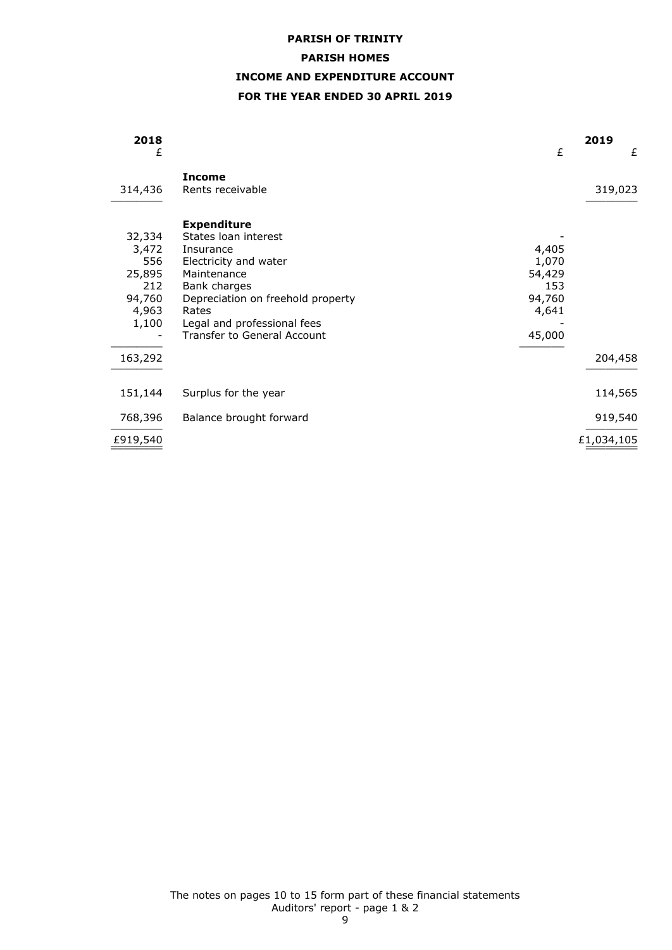# **PARISH OF TRINITY PARISH HOMES INCOME AND EXPENDITURE ACCOUNT FOR THE YEAR ENDED 30 APRIL 2019**

| 2018<br>£                                                           |                                                                                                                                                                                                                                    | £                                                            | 2019<br>£  |
|---------------------------------------------------------------------|------------------------------------------------------------------------------------------------------------------------------------------------------------------------------------------------------------------------------------|--------------------------------------------------------------|------------|
| 314,436                                                             | <b>Income</b><br>Rents receivable                                                                                                                                                                                                  |                                                              | 319,023    |
| 32,334<br>3,472<br>556<br>25,895<br>212<br>94,760<br>4,963<br>1,100 | <b>Expenditure</b><br>States Ioan interest<br>Insurance<br>Electricity and water<br>Maintenance<br>Bank charges<br>Depreciation on freehold property<br>Rates<br>Legal and professional fees<br><b>Transfer to General Account</b> | 4,405<br>1,070<br>54,429<br>153<br>94,760<br>4,641<br>45,000 |            |
| 163,292                                                             |                                                                                                                                                                                                                                    |                                                              | 204,458    |
| 151,144                                                             | Surplus for the year                                                                                                                                                                                                               |                                                              | 114,565    |
| 768,396                                                             | Balance brought forward                                                                                                                                                                                                            |                                                              | 919,540    |
| £919,540                                                            |                                                                                                                                                                                                                                    |                                                              | £1,034,105 |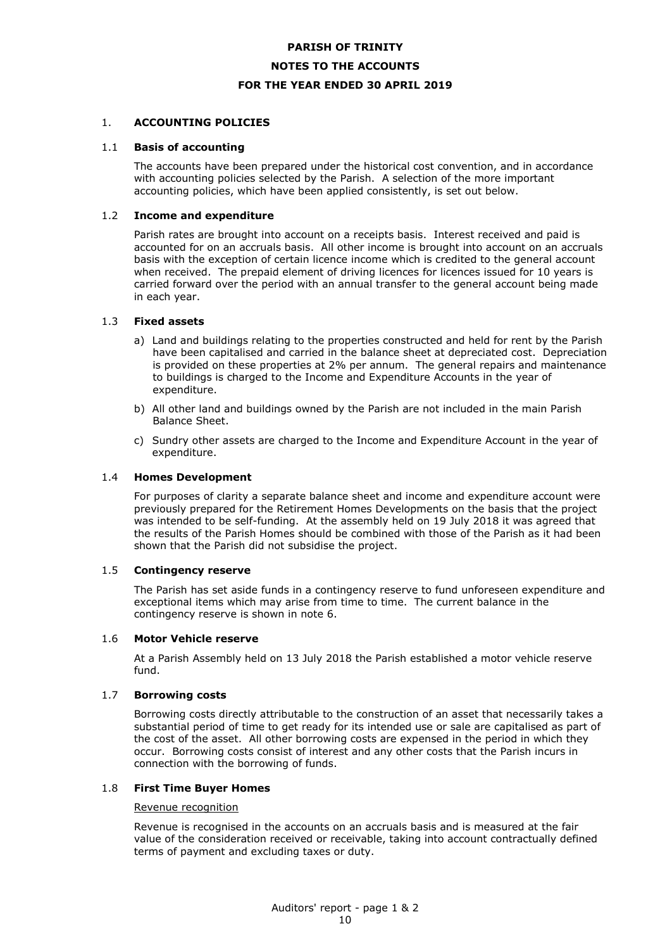# **PARISH OF TRINITY NOTES TO THE ACCOUNTS FOR THE YEAR ENDED 30 APRIL 2019**

## 1. **ACCOUNTING POLICIES**

#### 1.1 **Basis of accounting**

The accounts have been prepared under the historical cost convention, and in accordance with accounting policies selected by the Parish. A selection of the more important accounting policies, which have been applied consistently, is set out below.

#### 1.2 **Income and expenditure**

Parish rates are brought into account on a receipts basis. Interest received and paid is accounted for on an accruals basis. All other income is brought into account on an accruals basis with the exception of certain licence income which is credited to the general account when received. The prepaid element of driving licences for licences issued for 10 years is carried forward over the period with an annual transfer to the general account being made in each year.

#### 1.3 **Fixed assets**

- a) Land and buildings relating to the properties constructed and held for rent by the Parish have been capitalised and carried in the balance sheet at depreciated cost. Depreciation is provided on these properties at 2% per annum. The general repairs and maintenance to buildings is charged to the Income and Expenditure Accounts in the year of expenditure.
- b) All other land and buildings owned by the Parish are not included in the main Parish Balance Sheet.
- c) Sundry other assets are charged to the Income and Expenditure Account in the year of expenditure.

#### 1.4 **Homes Development**

For purposes of clarity a separate balance sheet and income and expenditure account were previously prepared for the Retirement Homes Developments on the basis that the project was intended to be self-funding. At the assembly held on 19 July 2018 it was agreed that the results of the Parish Homes should be combined with those of the Parish as it had been shown that the Parish did not subsidise the project.

#### 1.5 **Contingency reserve**

The Parish has set aside funds in a contingency reserve to fund unforeseen expenditure and exceptional items which may arise from time to time. The current balance in the contingency reserve is shown in note 6.

#### 1.6 **Motor Vehicle reserve**

At a Parish Assembly held on 13 July 2018 the Parish established a motor vehicle reserve fund.

#### 1.7 **Borrowing costs**

Borrowing costs directly attributable to the construction of an asset that necessarily takes a substantial period of time to get ready for its intended use or sale are capitalised as part of the cost of the asset. All other borrowing costs are expensed in the period in which they occur. Borrowing costs consist of interest and any other costs that the Parish incurs in connection with the borrowing of funds.

### 1.8 **First Time Buyer Homes**

## Revenue recognition

Revenue is recognised in the accounts on an accruals basis and is measured at the fair value of the consideration received or receivable, taking into account contractually defined terms of payment and excluding taxes or duty.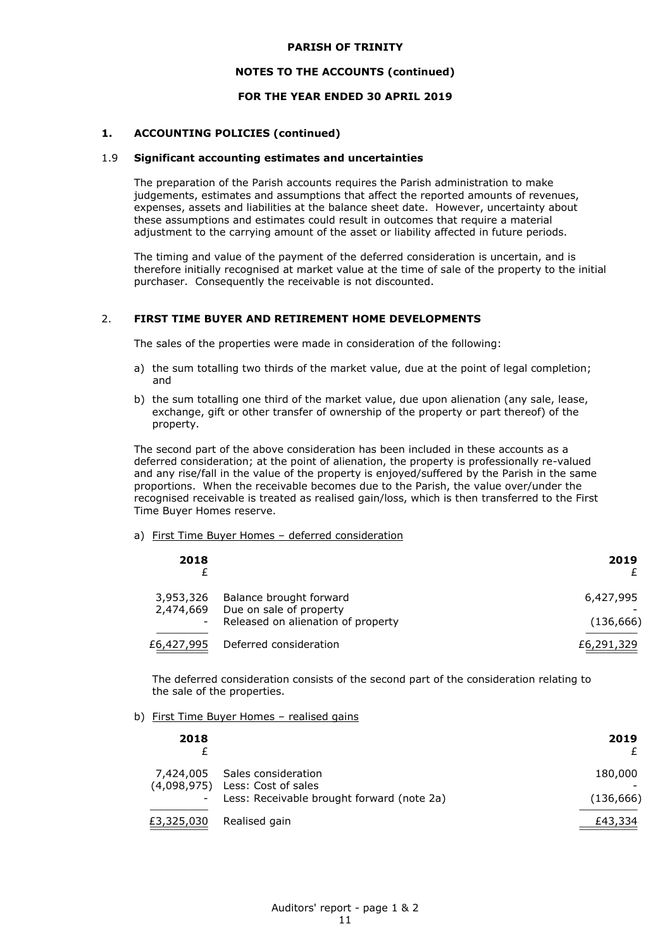#### **NOTES TO THE ACCOUNTS (continued)**

## **FOR THE YEAR ENDED 30 APRIL 2019**

## **1. ACCOUNTING POLICIES (continued)**

#### 1.9 **Significant accounting estimates and uncertainties**

The preparation of the Parish accounts requires the Parish administration to make judgements, estimates and assumptions that affect the reported amounts of revenues, expenses, assets and liabilities at the balance sheet date. However, uncertainty about these assumptions and estimates could result in outcomes that require a material adjustment to the carrying amount of the asset or liability affected in future periods.

The timing and value of the payment of the deferred consideration is uncertain, and is therefore initially recognised at market value at the time of sale of the property to the initial purchaser. Consequently the receivable is not discounted.

## 2. **FIRST TIME BUYER AND RETIREMENT HOME DEVELOPMENTS**

The sales of the properties were made in consideration of the following:

- a) the sum totalling two thirds of the market value, due at the point of legal completion; and
- b) the sum totalling one third of the market value, due upon alienation (any sale, lease, exchange, gift or other transfer of ownership of the property or part thereof) of the property.

The second part of the above consideration has been included in these accounts as a deferred consideration; at the point of alienation, the property is professionally re-valued and any rise/fall in the value of the property is enjoyed/suffered by the Parish in the same proportions. When the receivable becomes due to the Parish, the value over/under the recognised receivable is treated as realised gain/loss, which is then transferred to the First Time Buyer Homes reserve.

#### a) First Time Buyer Homes – deferred consideration

| 2018                                               |                                                                                          | 2019                    |
|----------------------------------------------------|------------------------------------------------------------------------------------------|-------------------------|
| 3,953,326<br>2,474,669<br>$\overline{\phantom{a}}$ | Balance brought forward<br>Due on sale of property<br>Released on alienation of property | 6,427,995<br>(136, 666) |
| £6,427,995                                         | Deferred consideration                                                                   | £6,291,329              |

The deferred consideration consists of the second part of the consideration relating to the sale of the properties.

## b) First Time Buyer Homes – realised gains

| 2018                     |                                                                                                                  | 2019                  |
|--------------------------|------------------------------------------------------------------------------------------------------------------|-----------------------|
| $\overline{\phantom{a}}$ | 7,424,005 Sales consideration<br>$(4,098,975)$ Less: Cost of sales<br>Less: Receivable brought forward (note 2a) | 180,000<br>(136, 666) |
| £3,325,030               | Realised gain                                                                                                    | £43,334               |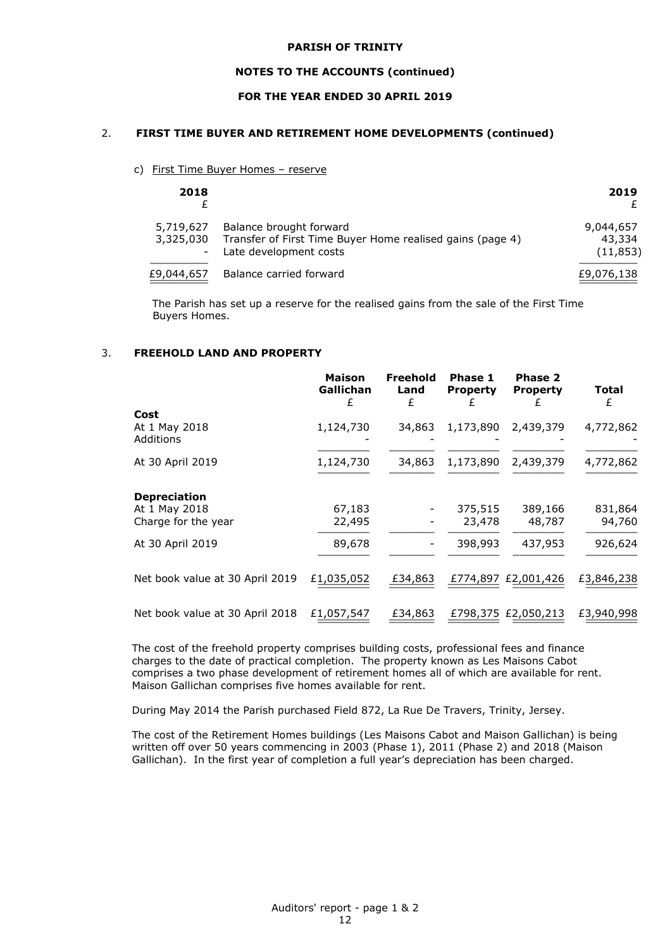#### **NOTES TO THE ACCOUNTS (continued)**

## **FOR THE YEAR ENDED 30 APRIL 2019**

## 2. **FIRST TIME BUYER AND RETIREMENT HOME DEVELOPMENTS (continued)**

c) First Time Buyer Homes – reserve

| 2018                                               |                                                                                                                | 2019                             |
|----------------------------------------------------|----------------------------------------------------------------------------------------------------------------|----------------------------------|
| 5,719,627<br>3,325,030<br>$\overline{\phantom{a}}$ | Balance brought forward<br>Transfer of First Time Buyer Home realised gains (page 4)<br>Late development costs | 9,044,657<br>43,334<br>(11, 853) |
| £9,044,657                                         | Balance carried forward                                                                                        | £9,076,138                       |

The Parish has set up a reserve for the realised gains from the sale of the First Time Buyers Homes.

## 3. **FREEHOLD LAND AND PROPERTY**

|                                   | <b>Maison</b><br>Gallichan<br>£ | <b>Freehold</b><br>Land<br>£ | Phase 1<br><b>Property</b><br>ł. | Phase 2<br><b>Property</b> | Total<br>£ |
|-----------------------------------|---------------------------------|------------------------------|----------------------------------|----------------------------|------------|
| Cost                              |                                 |                              |                                  |                            |            |
| At 1 May 2018<br><b>Additions</b> | 1,124,730                       | 34,863                       | 1,173,890                        | 2,439,379                  | 4,772,862  |
| At 30 April 2019                  | 1,124,730                       | 34,863                       | 1,173,890                        | 2,439,379                  | 4,772,862  |
| <b>Depreciation</b>               |                                 |                              |                                  |                            |            |
| At 1 May 2018                     | 67,183                          |                              | 375,515                          | 389,166                    | 831,864    |
| Charge for the year               | 22,495                          |                              | 23,478                           | 48,787                     | 94,760     |
| At 30 April 2019                  | 89,678                          |                              | 398,993                          | 437,953                    | 926,624    |
| Net book value at 30 April 2019   | £1,035,052                      | £34,863                      |                                  | £774,897 £2,001,426        | £3,846,238 |
| Net book value at 30 April 2018   | £1,057,547                      | £34,863                      |                                  | £798,375 £2,050,213        | £3,940,998 |

The cost of the freehold property comprises building costs, professional fees and finance charges to the date of practical completion. The property known as Les Maisons Cabot comprises a two phase development of retirement homes all of which are available for rent. Maison Gallichan comprises five homes available for rent.

During May 2014 the Parish purchased Field 872, La Rue De Travers, Trinity, Jersey.

The cost of the Retirement Homes buildings (Les Maisons Cabot and Maison Gallichan) is being written off over 50 years commencing in 2003 (Phase 1), 2011 (Phase 2) and 2018 (Maison Gallichan). In the first year of completion a full year's depreciation has been charged.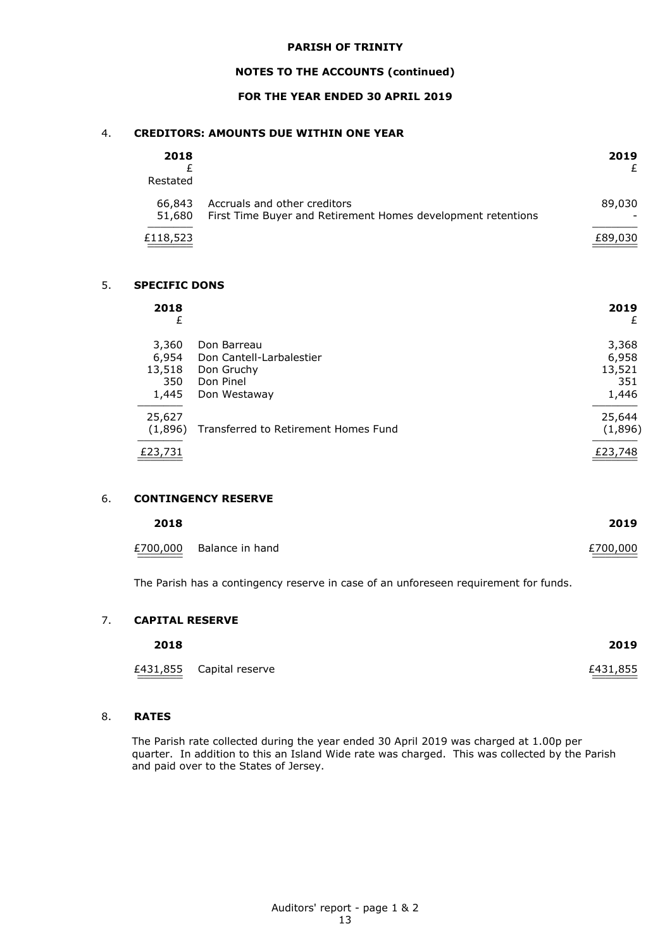## **NOTES TO THE ACCOUNTS (continued)**

## **FOR THE YEAR ENDED 30 APRIL 2019**

## 4. **CREDITORS: AMOUNTS DUE WITHIN ONE YEAR**

| 2018<br>Restated |                                                                                              | 2019<br>£ |
|------------------|----------------------------------------------------------------------------------------------|-----------|
| 66,843<br>51,680 | Accruals and other creditors<br>First Time Buyer and Retirement Homes development retentions | 89,030    |
| £118,523         |                                                                                              | £89,030   |

#### 5. **SPECIFIC DONS**

| 2018<br>£                                |                                                                                    | 2019<br>£                                |
|------------------------------------------|------------------------------------------------------------------------------------|------------------------------------------|
| 3,360<br>6,954<br>13,518<br>350<br>1,445 | Don Barreau<br>Don Cantell-Larbalestier<br>Don Gruchy<br>Don Pinel<br>Don Westaway | 3,368<br>6,958<br>13,521<br>351<br>1,446 |
| 25,627<br>(1,896)                        | Transferred to Retirement Homes Fund                                               | 25,644<br>(1,896)                        |
| £23,731                                  |                                                                                    | £23,748                                  |

## 6. **CONTINGENCY RESERVE**

| 2018    |                          | 2019                |
|---------|--------------------------|---------------------|
| _______ | £700,000 Balance in hand | £700,000<br>_______ |

The Parish has a contingency reserve in case of an unforeseen requirement for funds.

#### 7. **CAPITAL RESERVE**

| 2018 |                          | 2019     |
|------|--------------------------|----------|
|      | £431,855 Capital reserve | £431,855 |

## 8. **RATES**

The Parish rate collected during the year ended 30 April 2019 was charged at 1.00p per quarter. In addition to this an Island Wide rate was charged. This was collected by the Parish and paid over to the States of Jersey.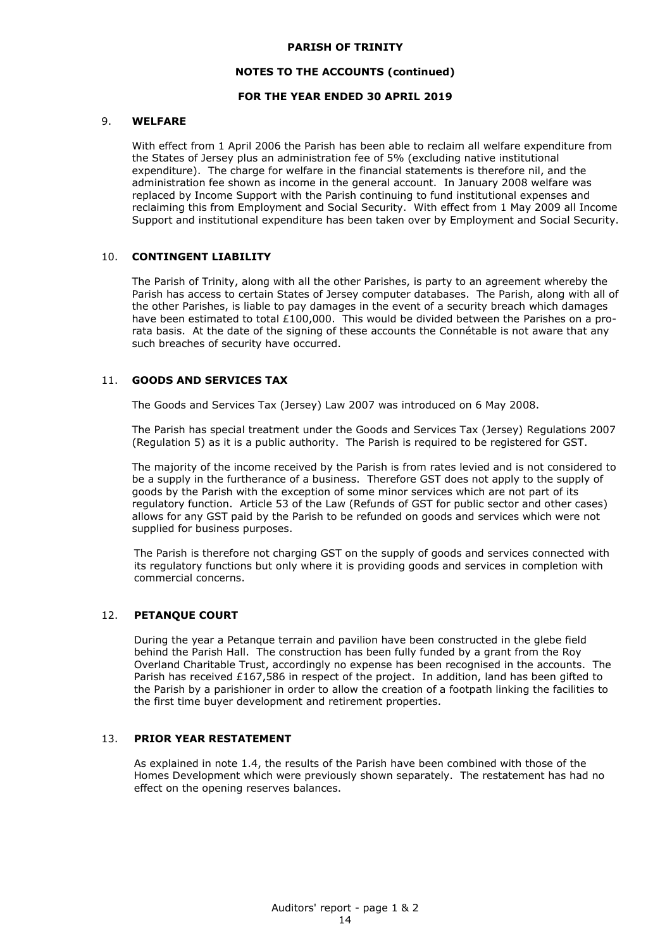### **NOTES TO THE ACCOUNTS (continued)**

## **FOR THE YEAR ENDED 30 APRIL 2019**

## 9. **WELFARE**

With effect from 1 April 2006 the Parish has been able to reclaim all welfare expenditure from the States of Jersey plus an administration fee of 5% (excluding native institutional expenditure). The charge for welfare in the financial statements is therefore nil, and the administration fee shown as income in the general account. In January 2008 welfare was replaced by Income Support with the Parish continuing to fund institutional expenses and reclaiming this from Employment and Social Security. With effect from 1 May 2009 all Income Support and institutional expenditure has been taken over by Employment and Social Security.

## 10. **CONTINGENT LIABILITY**

The Parish of Trinity, along with all the other Parishes, is party to an agreement whereby the Parish has access to certain States of Jersey computer databases. The Parish, along with all of the other Parishes, is liable to pay damages in the event of a security breach which damages have been estimated to total £100,000. This would be divided between the Parishes on a prorata basis. At the date of the signing of these accounts the Connétable is not aware that any such breaches of security have occurred.

## 11. **GOODS AND SERVICES TAX**

The Goods and Services Tax (Jersey) Law 2007 was introduced on 6 May 2008.

The Parish has special treatment under the Goods and Services Tax (Jersey) Regulations 2007 (Regulation 5) as it is a public authority. The Parish is required to be registered for GST.

The majority of the income received by the Parish is from rates levied and is not considered to be a supply in the furtherance of a business. Therefore GST does not apply to the supply of goods by the Parish with the exception of some minor services which are not part of its regulatory function. Article 53 of the Law (Refunds of GST for public sector and other cases) allows for any GST paid by the Parish to be refunded on goods and services which were not supplied for business purposes.

The Parish is therefore not charging GST on the supply of goods and services connected with its regulatory functions but only where it is providing goods and services in completion with commercial concerns.

## 12. **PETANQUE COURT**

During the year a Petanque terrain and pavilion have been constructed in the glebe field behind the Parish Hall. The construction has been fully funded by a grant from the Roy Overland Charitable Trust, accordingly no expense has been recognised in the accounts. The Parish has received £167,586 in respect of the project. In addition, land has been gifted to the Parish by a parishioner in order to allow the creation of a footpath linking the facilities to the first time buyer development and retirement properties.

## 13. **PRIOR YEAR RESTATEMENT**

As explained in note 1.4, the results of the Parish have been combined with those of the Homes Development which were previously shown separately. The restatement has had no effect on the opening reserves balances.